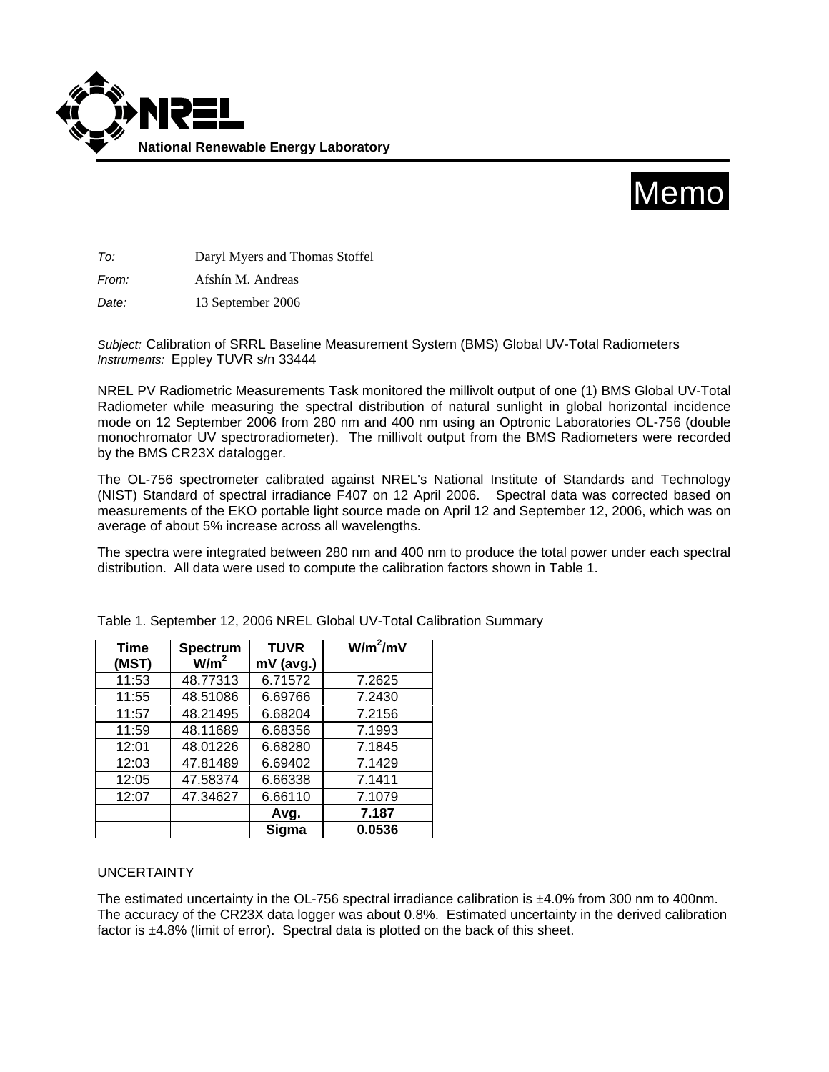



*To:* Daryl Myers and Thomas Stoffel

*From:* Afshín M. Andreas

*Date:* 13 September 2006

*Subject:* Calibration of SRRL Baseline Measurement System (BMS) Global UV-Total Radiometers *Instruments:* Eppley TUVR s/n 33444

NREL PV Radiometric Measurements Task monitored the millivolt output of one (1) BMS Global UV-Total Radiometer while measuring the spectral distribution of natural sunlight in global horizontal incidence mode on 12 September 2006 from 280 nm and 400 nm using an Optronic Laboratories OL-756 (double monochromator UV spectroradiometer). The millivolt output from the BMS Radiometers were recorded by the BMS CR23X datalogger.

The OL-756 spectrometer calibrated against NREL's National Institute of Standards and Technology (NIST) Standard of spectral irradiance F407 on 12 April 2006. Spectral data was corrected based on measurements of the EKO portable light source made on April 12 and September 12, 2006, which was on average of about 5% increase across all wavelengths.

The spectra were integrated between 280 nm and 400 nm to produce the total power under each spectral distribution. All data were used to compute the calibration factors shown in Table 1.

| <b>Time</b> | Spectrum         | <b>TUVR</b> | $W/m^2/mV$ |
|-------------|------------------|-------------|------------|
| (MST)       | W/m <sup>2</sup> | mV (avg.)   |            |
| 11:53       | 48.77313         | 6.71572     | 7.2625     |
| 11:55       | 48.51086         | 6.69766     | 7.2430     |
| 11:57       | 48.21495         | 6.68204     | 7.2156     |
| 11:59       | 48.11689         | 6.68356     | 7.1993     |
| 12:01       | 48.01226         | 6.68280     | 7.1845     |
| 12:03       | 47.81489         | 6.69402     | 7.1429     |
| 12:05       | 47.58374         | 6.66338     | 7.1411     |
| 12:07       | 47.34627         | 6.66110     | 7.1079     |
|             |                  | Avg.        | 7.187      |
|             |                  | Sigma       | 0.0536     |

Table 1. September 12, 2006 NREL Global UV-Total Calibration Summary

## UNCERTAINTY

The estimated uncertainty in the OL-756 spectral irradiance calibration is ±4.0% from 300 nm to 400nm. The accuracy of the CR23X data logger was about 0.8%. Estimated uncertainty in the derived calibration factor is ±4.8% (limit of error). Spectral data is plotted on the back of this sheet.